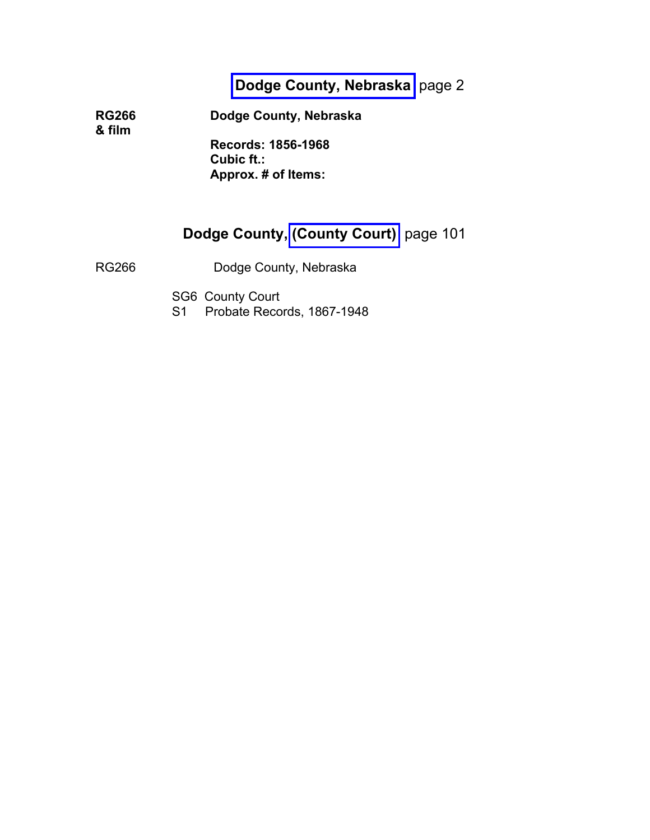## **[Dodge County, Nebraska](#page-1-0)** page 2

**RG266 Dodge County, Nebraska & film**

> **Records: 1856-1968 Cubic ft.: Approx. # of Items:**

## **Dodge County, [\(County Court\)](#page-100-0)** page 101

RG266 Dodge County, Nebraska

SG6 County Court

S1 Probate Records, 1867-1948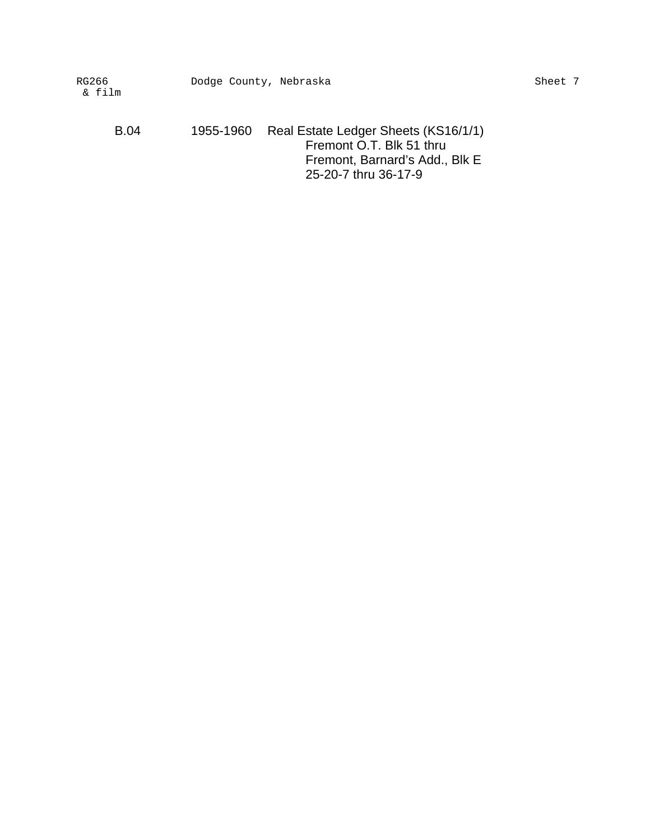B.04 1955-1960 Real Estate Ledger Sheets (KS16/1/1) Fremont O.T. Blk 51 thru Fremont, Barnard's Add., Blk E 25-20-7 thru 36-17-9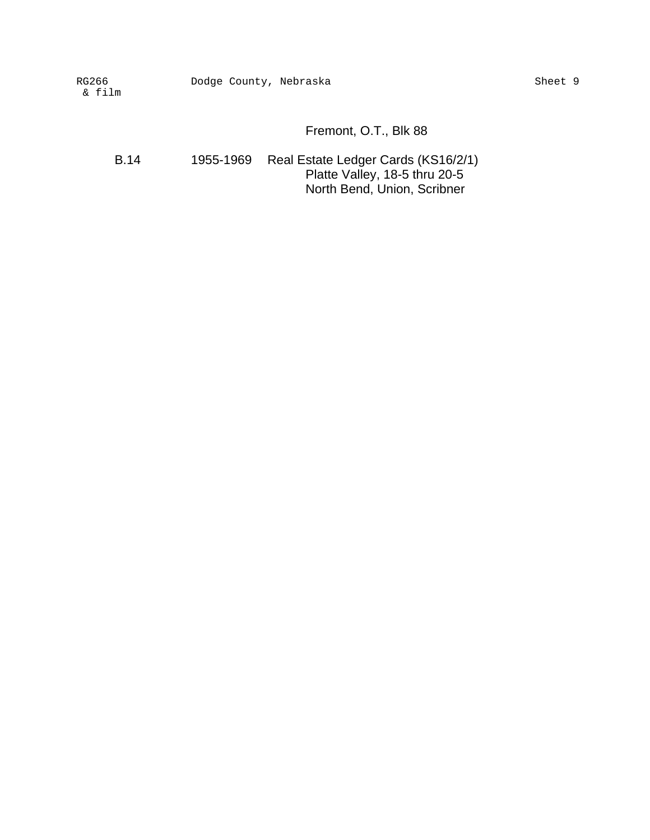## Fremont, O.T., Blk 88

B.14 1955-1969 Real Estate Ledger Cards (KS16/2/1) Platte Valley, 18-5 thru 20-5 North Bend, Union, Scribner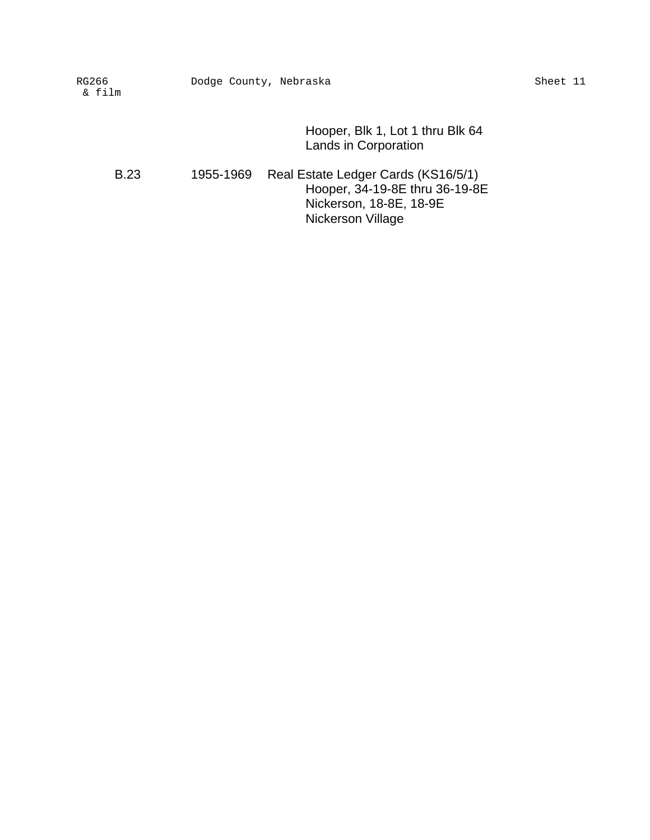Hooper, Blk 1, Lot 1 thru Blk 64 Lands in Corporation

B.23 1955-1969 Real Estate Ledger Cards (KS16/5/1) Hooper, 34-19-8E thru 36-19-8E Nickerson, 18-8E, 18-9E Nickerson Village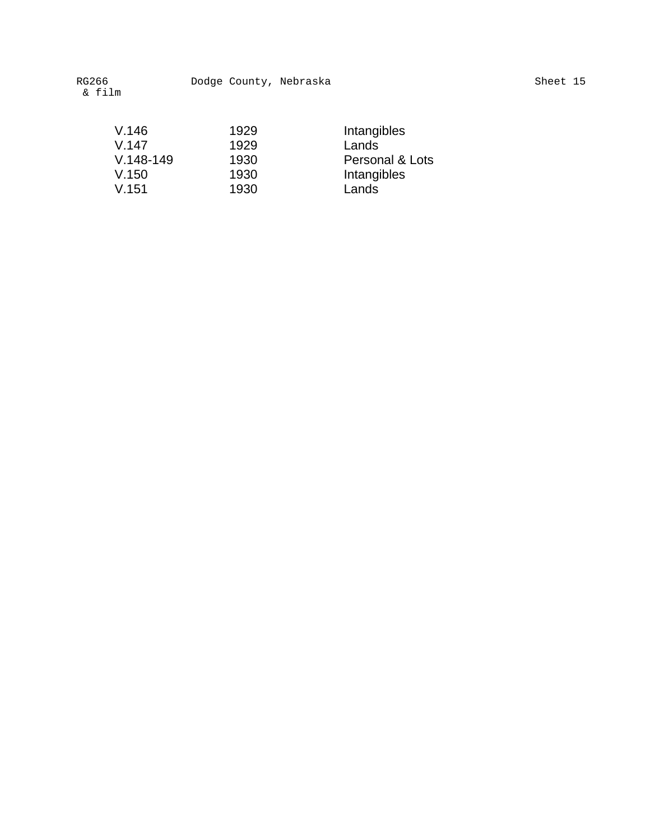| V.146       | 1929 | Intangibles     |
|-------------|------|-----------------|
| V.147       | 1929 | Lands           |
| $V.148-149$ | 1930 | Personal & Lots |
| V.150       | 1930 | Intangibles     |
| V.151       | 1930 | Lands           |
|             |      |                 |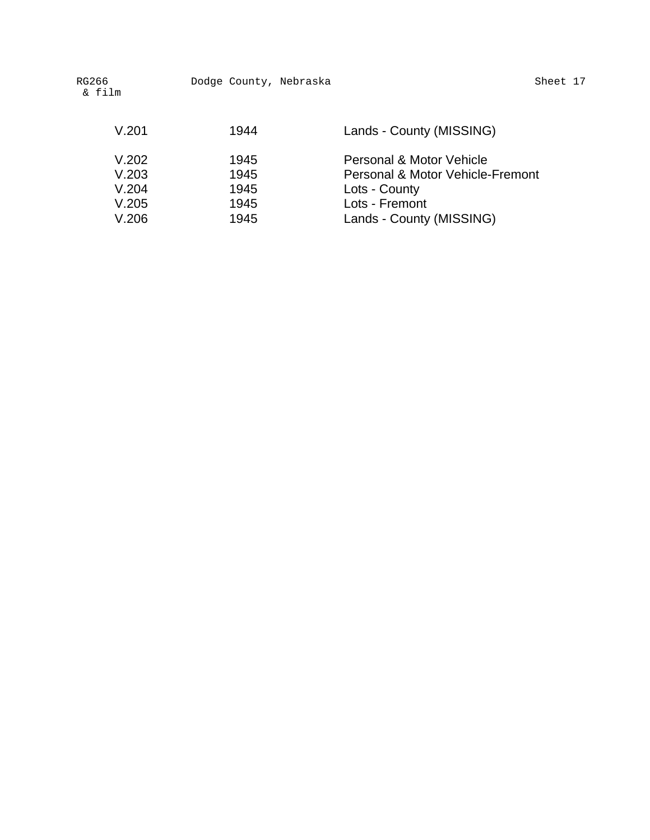| RG266<br>& film                           | Dodge County, Nebraska               | Sheet 17                                                                                                                    |
|-------------------------------------------|--------------------------------------|-----------------------------------------------------------------------------------------------------------------------------|
| V.201                                     | 1944                                 | Lands - County (MISSING)                                                                                                    |
| V.202<br>V.203<br>V.204<br>V.205<br>V.206 | 1945<br>1945<br>1945<br>1945<br>1945 | Personal & Motor Vehicle<br>Personal & Motor Vehicle-Fremont<br>Lots - County<br>Lots - Fremont<br>Lands - County (MISSING) |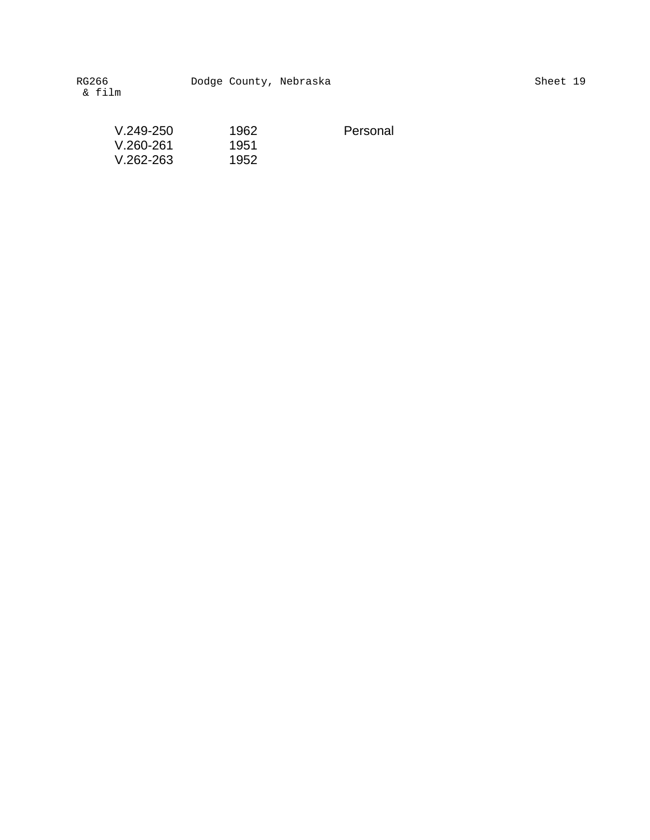| $V.249-250$   | 1962 | Personal |
|---------------|------|----------|
| V.260-261     | 1951 |          |
| $V.262 - 263$ | 1952 |          |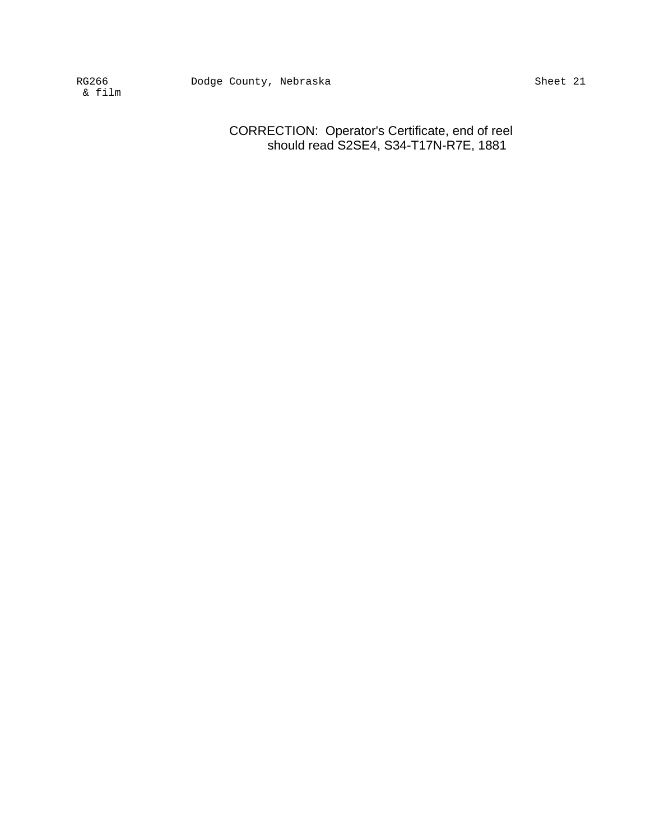> CORRECTION: Operator's Certificate, end of reel should read S2SE4, S34-T17N-R7E, 1881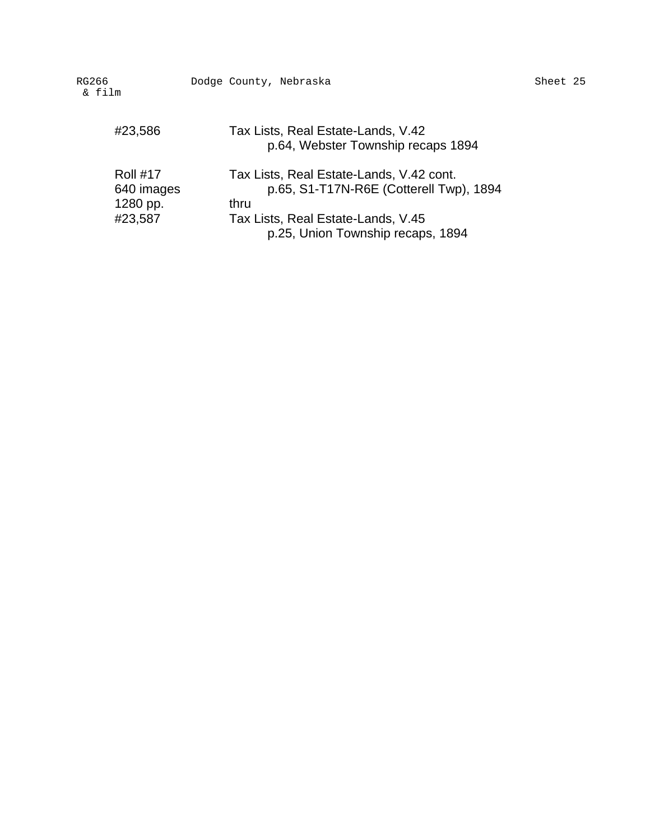| G266<br>& film                                       | Dodge County, Nebraska                                                                                                                                                 | Sheet 25 |
|------------------------------------------------------|------------------------------------------------------------------------------------------------------------------------------------------------------------------------|----------|
| #23,586                                              | Tax Lists, Real Estate-Lands, V.42<br>p.64, Webster Township recaps 1894                                                                                               |          |
| <b>Roll #17</b><br>640 images<br>1280 pp.<br>#23,587 | Tax Lists, Real Estate-Lands, V.42 cont.<br>p.65, S1-T17N-R6E (Cotterell Twp), 1894<br>thru<br>Tax Lists, Real Estate-Lands, V.45<br>p.25, Union Township recaps, 1894 |          |

RG266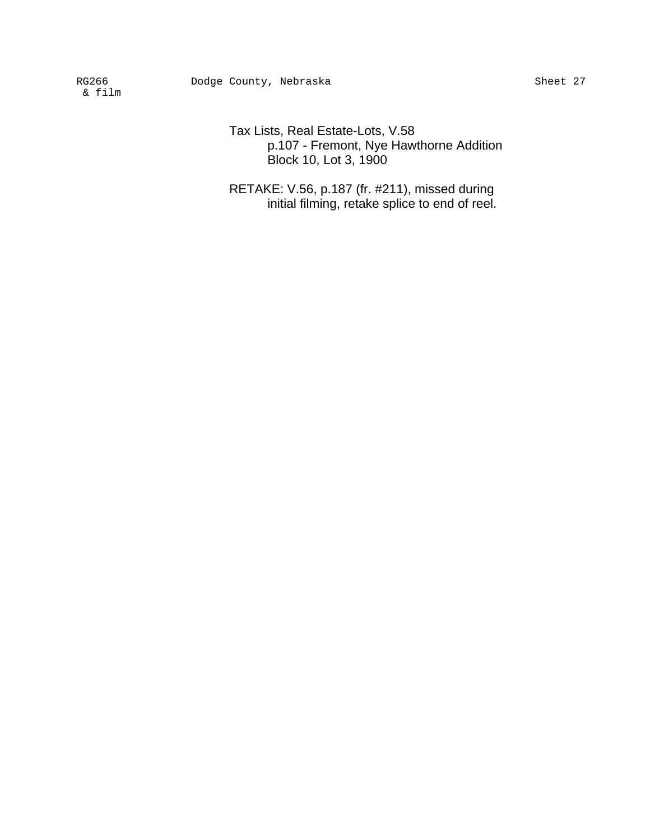Tax Lists, Real Estate-Lots, V.58 p.107 - Fremont, Nye Hawthorne Addition Block 10, Lot 3, 1900

RETAKE: V.56, p.187 (fr. #211), missed during initial filming, retake splice to end of reel.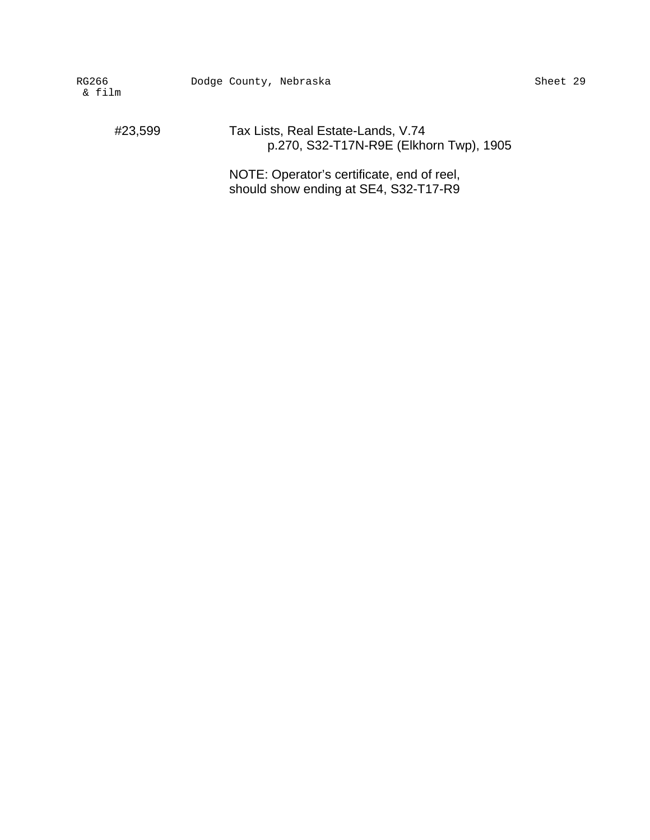#23,599 Tax Lists, Real Estate-Lands, V.74 p.270, S32-T17N-R9E (Elkhorn Twp), 1905

> NOTE: Operator's certificate, end of reel, should show ending at SE4, S32-T17-R9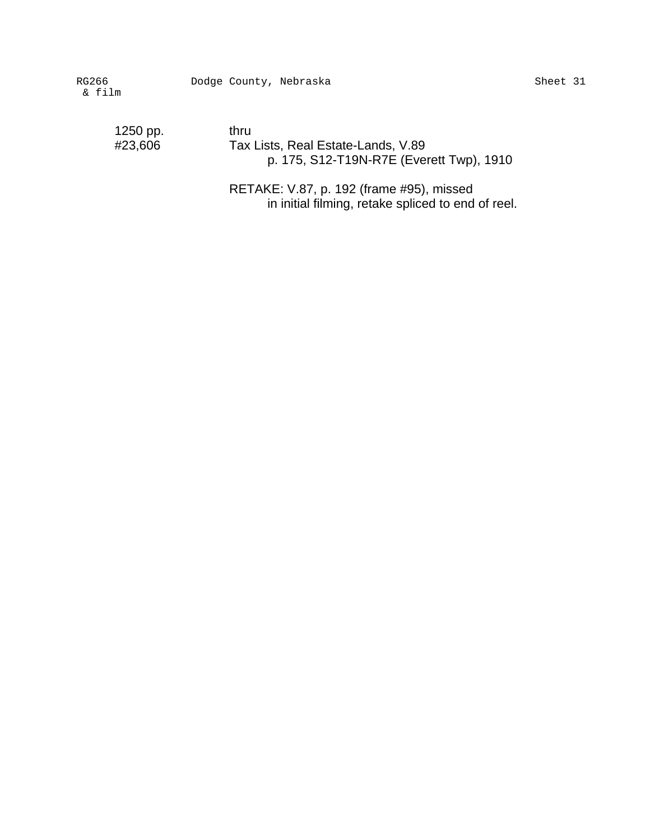1250 pp. thru<br>#23,606 Tax

Tax Lists, Real Estate-Lands, V.89 p. 175, S12-T19N-R7E (Everett Twp), 1910

RETAKE: V.87, p. 192 (frame #95), missed in initial filming, retake spliced to end of reel.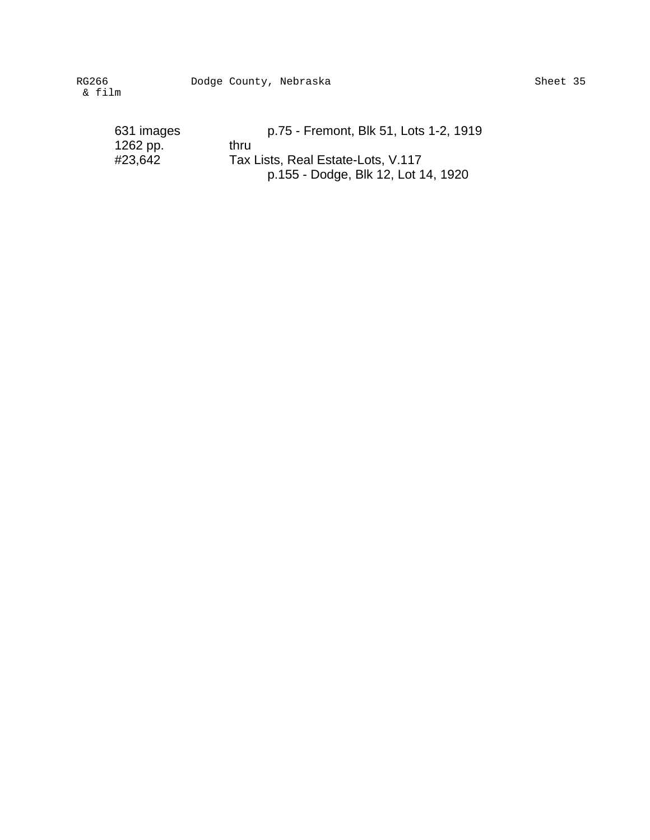Dodge County, Nebraska Sheet 35

| p.75 - Fremont, Blk 51, Lots 1-2, 1919 |
|----------------------------------------|
| thru                                   |
| Tax Lists, Real Estate-Lots, V.117     |
| p.155 - Dodge, Blk 12, Lot 14, 1920    |
|                                        |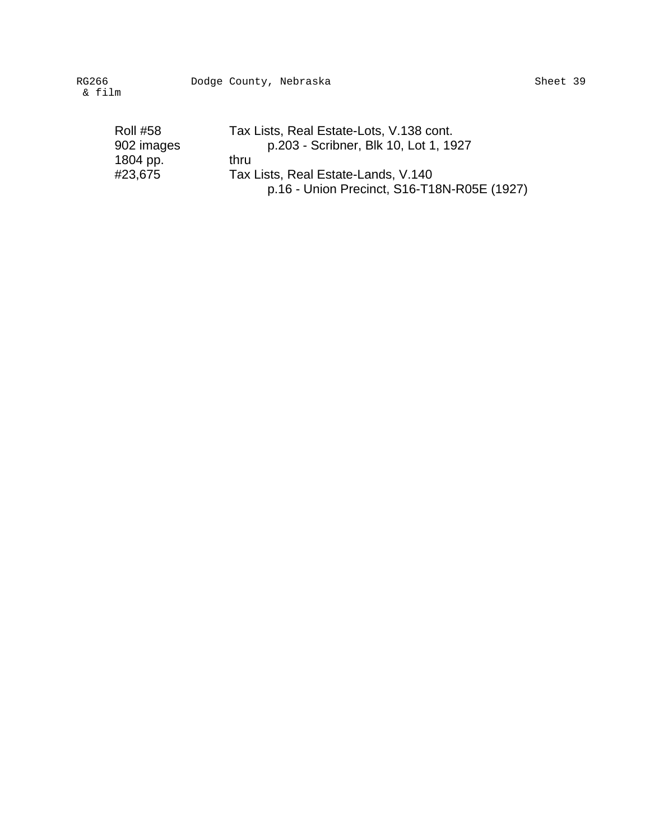| <b>Roll #58</b> | Tax Lists, Real Estate-Lots, V.138 cont.    |
|-----------------|---------------------------------------------|
| 902 images      | p.203 - Scribner, Blk 10, Lot 1, 1927       |
| 1804 pp.        | thru                                        |
| #23,675         | Tax Lists, Real Estate-Lands, V.140         |
|                 | p.16 - Union Precinct, S16-T18N-R05E (1927) |
|                 |                                             |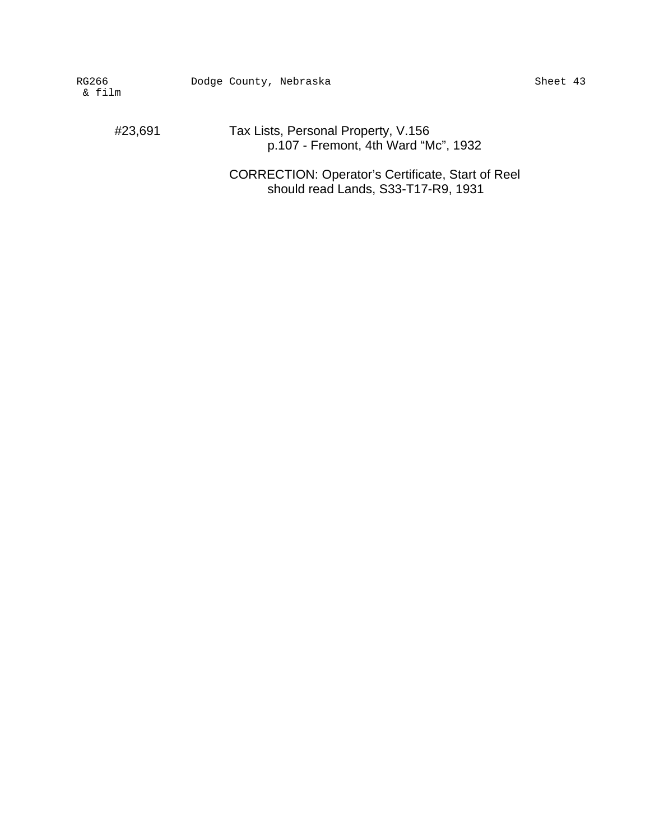#23,691 Tax Lists, Personal Property, V.156 p.107 - Fremont, 4th Ward "Mc", 1932

> CORRECTION: Operator's Certificate, Start of Reel should read Lands, S33-T17-R9, 1931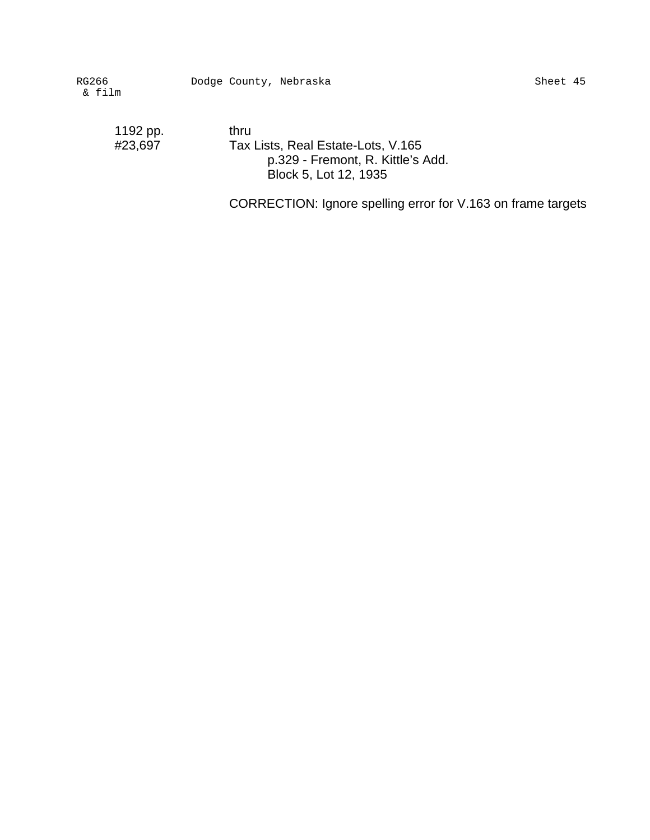1192 pp. thru<br>#23,697 Tax

Tax Lists, Real Estate-Lots, V.165 p.329 - Fremont, R. Kittle's Add. Block 5, Lot 12, 1935

CORRECTION: Ignore spelling error for V.163 on frame targets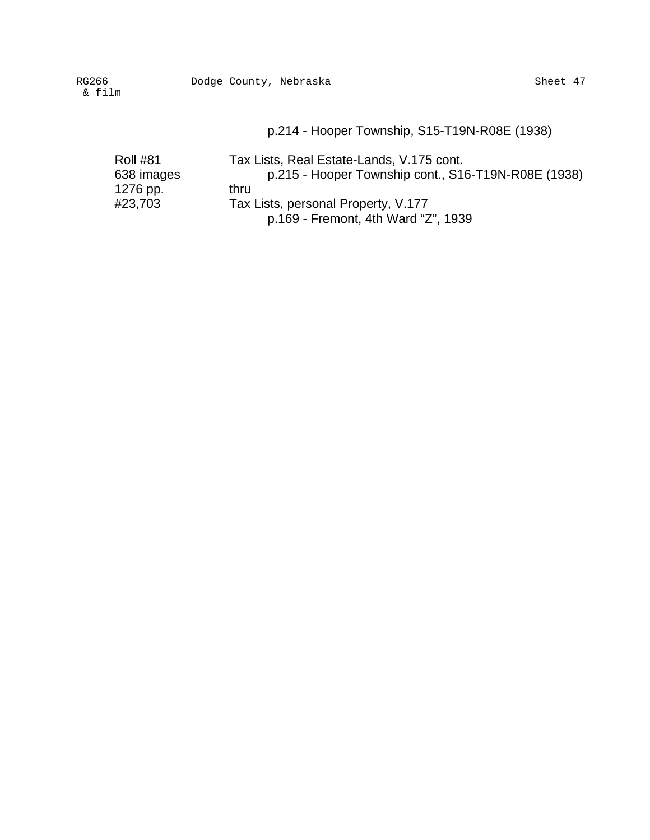## p.214 - Hooper Township, S15-T19N-R08E (1938)

| <b>Roll #81</b> | Tax Lists, Real Estate-Lands, V.175 cont.           |
|-----------------|-----------------------------------------------------|
| 638 images      | p.215 - Hooper Township cont., S16-T19N-R08E (1938) |
| 1276 pp.        | thru                                                |
| #23,703         | Tax Lists, personal Property, V.177                 |
|                 | p.169 - Fremont, 4th Ward "Z", 1939                 |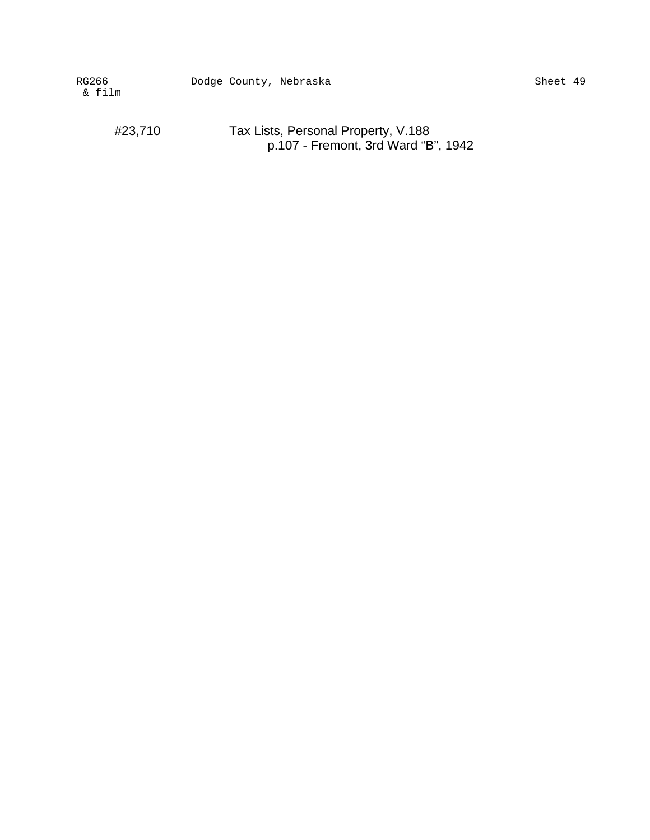#23,710 Tax Lists, Personal Property, V.188 p.107 - Fremont, 3rd Ward "B", 1942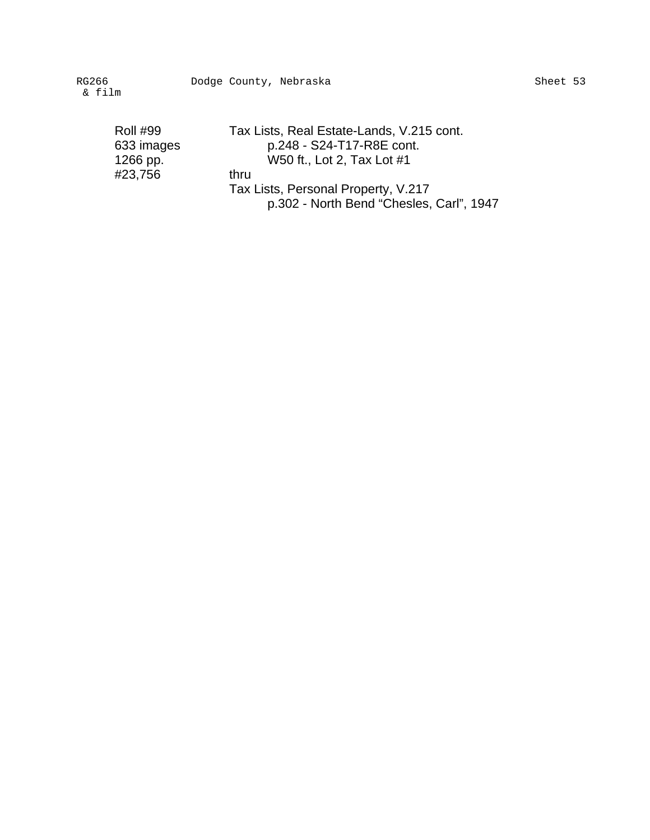| Roll #99   |  |
|------------|--|
| 633 images |  |
| 1266 pp.   |  |
| #23,756    |  |
|            |  |

Tax Lists, Real Estate-Lands, V.215 cont. p.248 - S24-T17-R8E cont. W50 ft., Lot 2, Tax Lot #1 thru Tax Lists, Personal Property, V.217 p.302 - North Bend "Chesles, Carl", 1947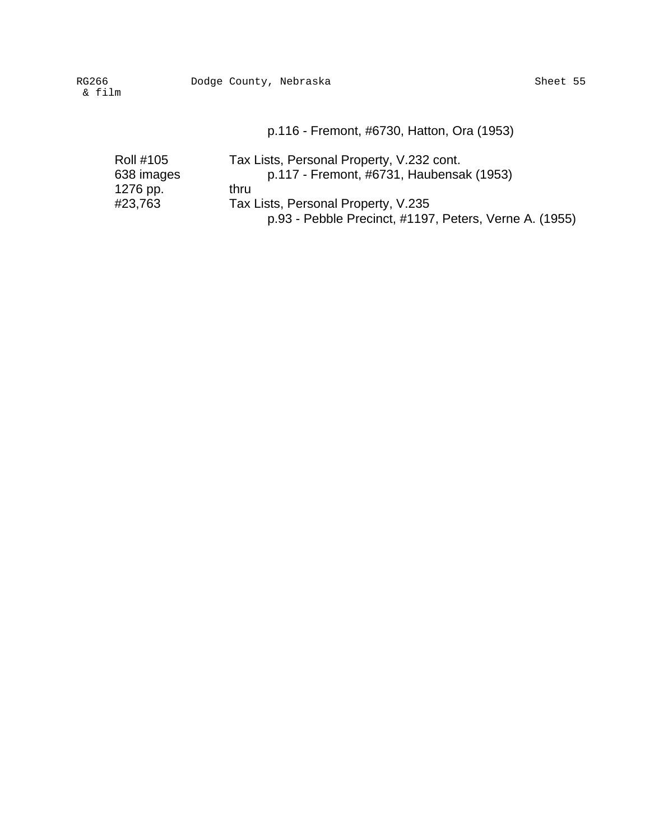p.116 - Fremont, #6730, Hatton, Ora (1953)

| <b>Roll #105</b> | Tax Lists, Personal Property, V.232 cont.              |
|------------------|--------------------------------------------------------|
| 638 images       | p.117 - Fremont, #6731, Haubensak (1953)               |
| 1276 pp.         | thru                                                   |
| #23,763          | Tax Lists, Personal Property, V.235                    |
|                  | p.93 - Pebble Precinct, #1197, Peters, Verne A. (1955) |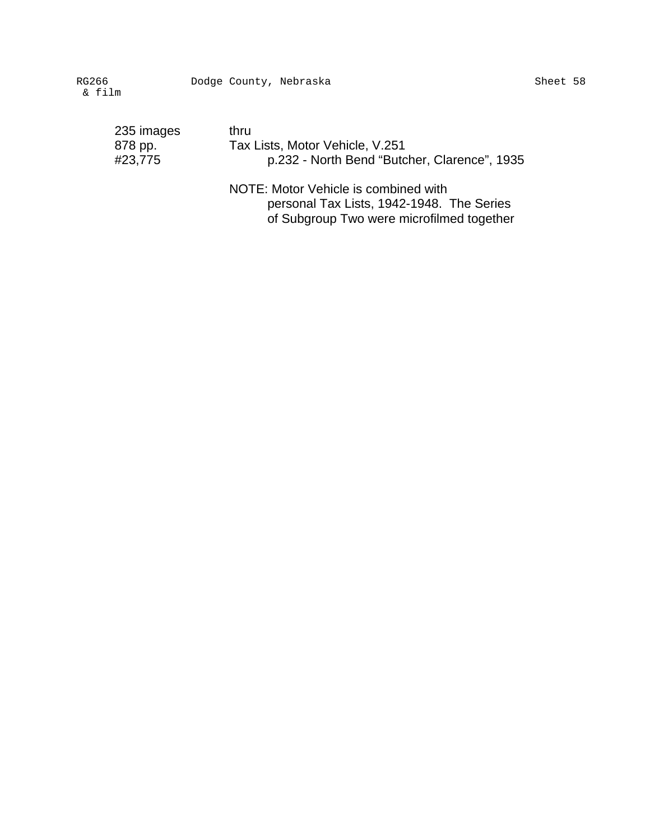| 235 images | thru                                         |
|------------|----------------------------------------------|
| 878 pp.    | Tax Lists, Motor Vehicle, V.251              |
| #23,775    | p.232 - North Bend "Butcher, Clarence", 1935 |
|            | NOTE: Motor Vehicle is combined with         |

personal Tax Lists, 1942-1948. The Series of Subgroup Two were microfilmed together